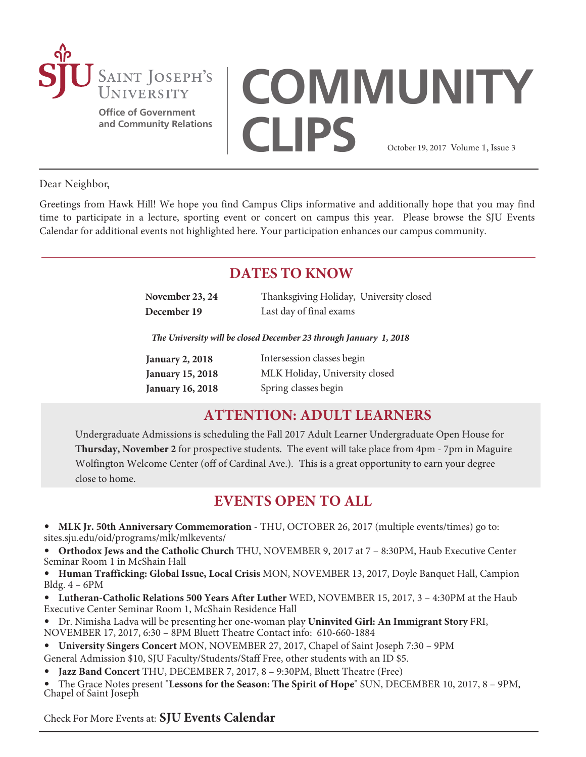

**Office of Government and Community Relations**

# **COMMUNITY CLIPS** October 19, 2017 Volume 1, Issue 3

Dear Neighbor,

Greetings from Hawk Hill! We hope you find Campus Clips informative and additionally hope that you may find time to participate in a lecture, sporting event or concert on campus this year. Please browse the SJU Events Calendar for additional events not highlighted here. Your participation enhances our campus community.

# **DATES TO KNOW**

| November 23, 24 | Thanksgiving Holiday, University closed |  |
|-----------------|-----------------------------------------|--|
| December 19     | Last day of final exams                 |  |

*The University will be closed December 23 through January 1, 2018*

| <b>January 2, 2018</b>  | Intersession classes begin     |
|-------------------------|--------------------------------|
| <b>January 15, 2018</b> | MLK Holiday, University closed |
| <b>January 16, 2018</b> | Spring classes begin           |

# **ATTENTION: ADULT LEARNERS**

Undergraduate Admissions is scheduling the Fall 2017 Adult Learner Undergraduate Open House for **Thursday, November 2** for prospective students. The event will take place from 4pm - 7pm in Maguire Wolfington Welcome Center (off of Cardinal Ave.). This is a great opportunity to earn your degree close to home.

# **EVENTS OPEN TO ALL**

- **MLK Jr. 50th Anniversary Commemoration**  THU, OCTOBER 26, 2017 (multiple events/times) go to: <sites.sju.edu/oid/programs/mlk/mlkevents/>
- **[Orthodox Jews and the Catholic Church](https://sites.sju.edu/ijcr/events/)** THU, NOVEMBER 9, 2017 at 7 8:30PM, Haub Executive Center Seminar Room 1 in McShain Hall

• **[Human Trafficking: Global Issue, Local Crisis](https://www.sju.edu/news-events/events?trumbaEmbed=view%3Devent%26eventid%3D125279535)** MON, NOVEMBER 13, 2017, Doyle Banquet Hall, Campion Bldg. 4 – 6PM

• **[Lutheran-Catholic Relations 500 Years After Luther](https://nest.sju.edu/web/home-community/calendar?trumbaEmbed=view%3Devent%26eventid%3D125372316)** WED, NOVEMBER 15, 2017, 3 – 4:30PM at the Haub Executive Center Seminar Room 1, McShain Residence Hall

• Dr. Nimisha Ladva will be presenting her one-woman play **[Uninvited Girl: An Immigrant Story](https://nest.sju.edu/web/home-community/calendar?trumbaEmbed=view%3Devent%26eventid%3D125262647)** FRI, NOVEMBER 17, 2017, 6:30 – 8PM Bluett Theatre Contact info: 610-660-1884

• **[University Singers Concert](https://nest.sju.edu/web/home-community/calendar?trumbaEmbed=view%3Devent%26eventid%3D124647325)** MON, NOVEMBER 27, 2017, Chapel of Saint Joseph 7:30 – 9PM

General Admission \$10, SJU Faculty/Students/Staff Free, other students with an ID \$5.

• **[Jazz Band Concert](https://nest.sju.edu/web/home-community/calendar?trumbaEmbed=view%3Devent%26eventid%3D124647391)** THU, DECEMBER 7, 2017, 8 – 9:30PM, Bluett Theatre (Free)

• The Grace Notes present "**[Lessons for the Season: The Spirit of Hope](https://www.sju.edu/news-events/events)**" SUN, DECEMBER 10, 2017, 8 – 9PM, Chapel of Saint Joseph

Check For More Events at: **[SJU Events Calendar](https://www.sju.edu/news-events/events)**